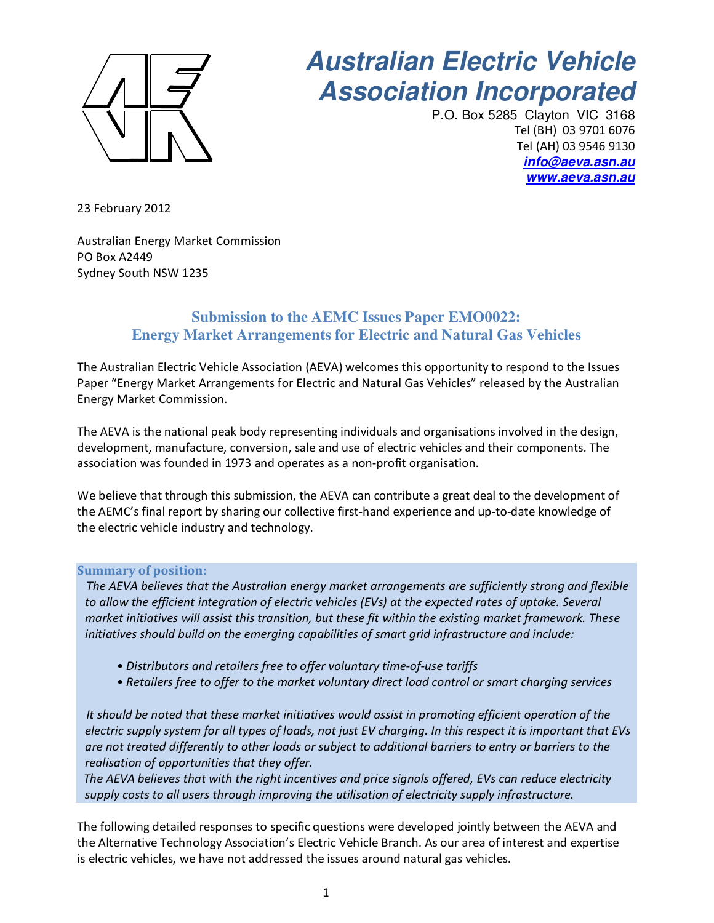

# **Australian Electric Vehicle** **Association Incorporated**

P.O. Box 5285 Clayton VIC 3168 Tel (BH) 03 9701 6076 Tel (AH) 03 9546 9130 **info@aeva.asn.au www.aeva.asn.au**

23 February 2012

Australian Energy Market Commission PO Box A2449 Sydney South NSW 1235

## **Submission to the AEMC Issues Paper EMO0022: Energy Market Arrangements for Electric and Natural Gas Vehicles**

The Australian Electric Vehicle Association (AEVA) welcomes this opportunity to respond to the Issues Paper "Energy Market Arrangements for Electric and Natural Gas Vehicles" released by the Australian Energy Market Commission.

The AEVA is the national peak body representing individuals and organisations involved in the design, development, manufacture, conversion, sale and use of electric vehicles and their components. The association was founded in 1973 and operates as a non-profit organisation.

We believe that through this submission, the AEVA can contribute a great deal to the development of the AEMC's final report by sharing our collective first-hand experience and up-to-date knowledge of the electric vehicle industry and technology.

## **Summary of position:**

 *The AEVA believes that the Australian energy market arrangements are sufficiently strong and flexible to allow the efficient integration of electric vehicles (EVs) at the expected rates of uptake. Several market initiatives will assist this transition, but these fit within the existing market framework. These initiatives should build on the emerging capabilities of smart grid infrastructure and include:* 

- *Distributors and retailers free to offer voluntary time-of-use tariffs*
- *Retailers free to offer to the market voluntary direct load control or smart charging services*

 *It should be noted that these market initiatives would assist in promoting efficient operation of the electric supply system for all types of loads, not just EV charging. In this respect it is important that EVs are not treated differently to other loads or subject to additional barriers to entry or barriers to the realisation of opportunities that they offer.* 

 *The AEVA believes that with the right incentives and price signals offered, EVs can reduce electricity supply costs to all users through improving the utilisation of electricity supply infrastructure.* 

The following detailed responses to specific questions were developed jointly between the AEVA and the Alternative Technology Association's Electric Vehicle Branch. As our area of interest and expertise is electric vehicles, we have not addressed the issues around natural gas vehicles.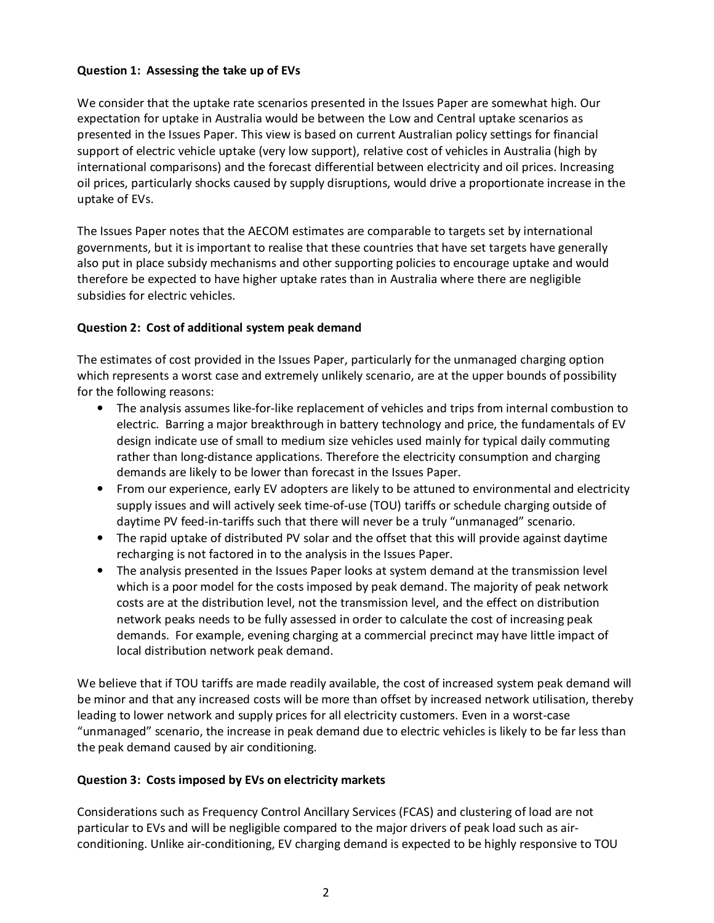## **Question 1: Assessing the take up of EVs**

We consider that the uptake rate scenarios presented in the Issues Paper are somewhat high. Our expectation for uptake in Australia would be between the Low and Central uptake scenarios as presented in the Issues Paper. This view is based on current Australian policy settings for financial support of electric vehicle uptake (very low support), relative cost of vehicles in Australia (high by international comparisons) and the forecast differential between electricity and oil prices. Increasing oil prices, particularly shocks caused by supply disruptions, would drive a proportionate increase in the uptake of EVs.

The Issues Paper notes that the AECOM estimates are comparable to targets set by international governments, but it is important to realise that these countries that have set targets have generally also put in place subsidy mechanisms and other supporting policies to encourage uptake and would therefore be expected to have higher uptake rates than in Australia where there are negligible subsidies for electric vehicles.

#### **Question 2: Cost of additional system peak demand**

The estimates of cost provided in the Issues Paper, particularly for the unmanaged charging option which represents a worst case and extremely unlikely scenario, are at the upper bounds of possibility for the following reasons:

- The analysis assumes like-for-like replacement of vehicles and trips from internal combustion to electric. Barring a major breakthrough in battery technology and price, the fundamentals of EV design indicate use of small to medium size vehicles used mainly for typical daily commuting rather than long-distance applications. Therefore the electricity consumption and charging demands are likely to be lower than forecast in the Issues Paper.
- From our experience, early EV adopters are likely to be attuned to environmental and electricity supply issues and will actively seek time-of-use (TOU) tariffs or schedule charging outside of daytime PV feed-in-tariffs such that there will never be a truly "unmanaged" scenario.
- The rapid uptake of distributed PV solar and the offset that this will provide against daytime recharging is not factored in to the analysis in the Issues Paper.
- The analysis presented in the Issues Paper looks at system demand at the transmission level which is a poor model for the costs imposed by peak demand. The majority of peak network costs are at the distribution level, not the transmission level, and the effect on distribution network peaks needs to be fully assessed in order to calculate the cost of increasing peak demands. For example, evening charging at a commercial precinct may have little impact of local distribution network peak demand.

We believe that if TOU tariffs are made readily available, the cost of increased system peak demand will be minor and that any increased costs will be more than offset by increased network utilisation, thereby leading to lower network and supply prices for all electricity customers. Even in a worst-case "unmanaged" scenario, the increase in peak demand due to electric vehicles is likely to be far less than the peak demand caused by air conditioning.

## **Question 3: Costs imposed by EVs on electricity markets**

Considerations such as Frequency Control Ancillary Services (FCAS) and clustering of load are not particular to EVs and will be negligible compared to the major drivers of peak load such as airconditioning. Unlike air-conditioning, EV charging demand is expected to be highly responsive to TOU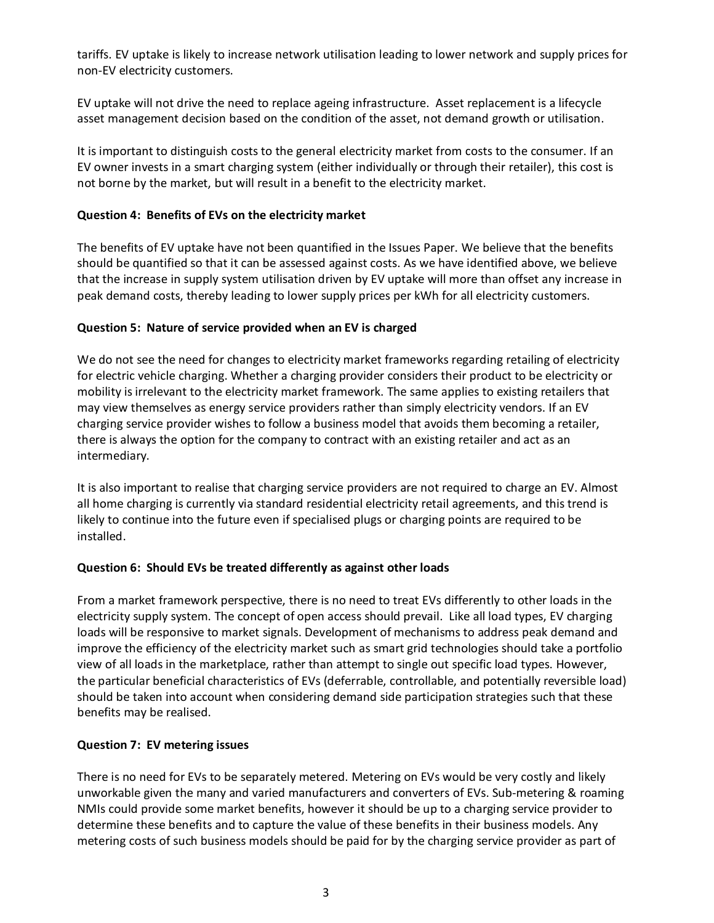tariffs. EV uptake is likely to increase network utilisation leading to lower network and supply prices for non-EV electricity customers.

EV uptake will not drive the need to replace ageing infrastructure. Asset replacement is a lifecycle asset management decision based on the condition of the asset, not demand growth or utilisation.

It is important to distinguish costs to the general electricity market from costs to the consumer. If an EV owner invests in a smart charging system (either individually or through their retailer), this cost is not borne by the market, but will result in a benefit to the electricity market.

## **Question 4: Benefits of EVs on the electricity market**

The benefits of EV uptake have not been quantified in the Issues Paper. We believe that the benefits should be quantified so that it can be assessed against costs. As we have identified above, we believe that the increase in supply system utilisation driven by EV uptake will more than offset any increase in peak demand costs, thereby leading to lower supply prices per kWh for all electricity customers.

## **Question 5: Nature of service provided when an EV is charged**

We do not see the need for changes to electricity market frameworks regarding retailing of electricity for electric vehicle charging. Whether a charging provider considers their product to be electricity or mobility is irrelevant to the electricity market framework. The same applies to existing retailers that may view themselves as energy service providers rather than simply electricity vendors. If an EV charging service provider wishes to follow a business model that avoids them becoming a retailer, there is always the option for the company to contract with an existing retailer and act as an intermediary.

It is also important to realise that charging service providers are not required to charge an EV. Almost all home charging is currently via standard residential electricity retail agreements, and this trend is likely to continue into the future even if specialised plugs or charging points are required to be installed.

## **Question 6: Should EVs be treated differently as against other loads**

From a market framework perspective, there is no need to treat EVs differently to other loads in the electricity supply system. The concept of open access should prevail. Like all load types, EV charging loads will be responsive to market signals. Development of mechanisms to address peak demand and improve the efficiency of the electricity market such as smart grid technologies should take a portfolio view of all loads in the marketplace, rather than attempt to single out specific load types. However, the particular beneficial characteristics of EVs (deferrable, controllable, and potentially reversible load) should be taken into account when considering demand side participation strategies such that these benefits may be realised.

## **Question 7: EV metering issues**

There is no need for EVs to be separately metered. Metering on EVs would be very costly and likely unworkable given the many and varied manufacturers and converters of EVs. Sub-metering & roaming NMIs could provide some market benefits, however it should be up to a charging service provider to determine these benefits and to capture the value of these benefits in their business models. Any metering costs of such business models should be paid for by the charging service provider as part of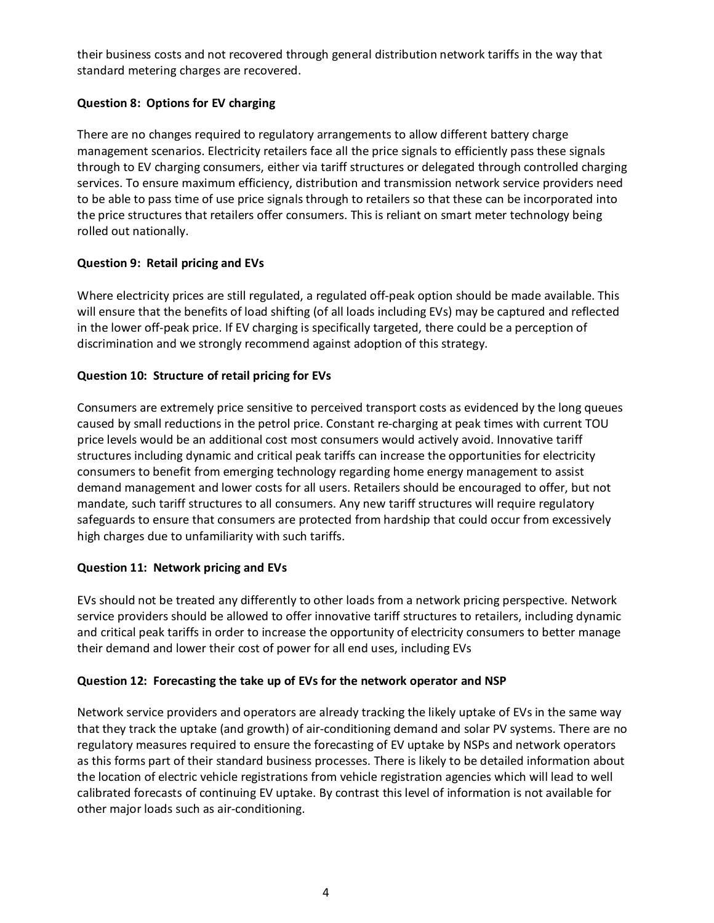their business costs and not recovered through general distribution network tariffs in the way that standard metering charges are recovered.

## **Question 8: Options for EV charging**

There are no changes required to regulatory arrangements to allow different battery charge management scenarios. Electricity retailers face all the price signals to efficiently pass these signals through to EV charging consumers, either via tariff structures or delegated through controlled charging services. To ensure maximum efficiency, distribution and transmission network service providers need to be able to pass time of use price signals through to retailers so that these can be incorporated into the price structures that retailers offer consumers. This is reliant on smart meter technology being rolled out nationally.

## **Question 9: Retail pricing and EVs**

Where electricity prices are still regulated, a regulated off-peak option should be made available. This will ensure that the benefits of load shifting (of all loads including EVs) may be captured and reflected in the lower off-peak price. If EV charging is specifically targeted, there could be a perception of discrimination and we strongly recommend against adoption of this strategy.

## **Question 10: Structure of retail pricing for EVs**

Consumers are extremely price sensitive to perceived transport costs as evidenced by the long queues caused by small reductions in the petrol price. Constant re-charging at peak times with current TOU price levels would be an additional cost most consumers would actively avoid. Innovative tariff structures including dynamic and critical peak tariffs can increase the opportunities for electricity consumers to benefit from emerging technology regarding home energy management to assist demand management and lower costs for all users. Retailers should be encouraged to offer, but not mandate, such tariff structures to all consumers. Any new tariff structures will require regulatory safeguards to ensure that consumers are protected from hardship that could occur from excessively high charges due to unfamiliarity with such tariffs.

## **Question 11: Network pricing and EVs**

EVs should not be treated any differently to other loads from a network pricing perspective. Network service providers should be allowed to offer innovative tariff structures to retailers, including dynamic and critical peak tariffs in order to increase the opportunity of electricity consumers to better manage their demand and lower their cost of power for all end uses, including EVs

## **Question 12: Forecasting the take up of EVs for the network operator and NSP**

Network service providers and operators are already tracking the likely uptake of EVs in the same way that they track the uptake (and growth) of air-conditioning demand and solar PV systems. There are no regulatory measures required to ensure the forecasting of EV uptake by NSPs and network operators as this forms part of their standard business processes. There is likely to be detailed information about the location of electric vehicle registrations from vehicle registration agencies which will lead to well calibrated forecasts of continuing EV uptake. By contrast this level of information is not available for other major loads such as air-conditioning.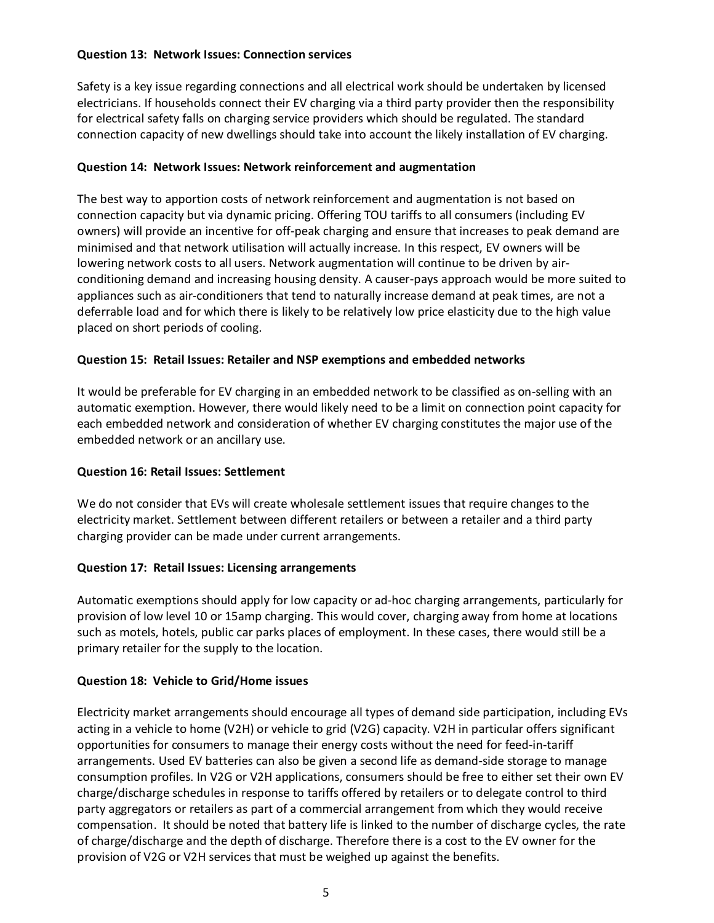## **Question 13: Network Issues: Connection services**

Safety is a key issue regarding connections and all electrical work should be undertaken by licensed electricians. If households connect their EV charging via a third party provider then the responsibility for electrical safety falls on charging service providers which should be regulated. The standard connection capacity of new dwellings should take into account the likely installation of EV charging.

#### **Question 14: Network Issues: Network reinforcement and augmentation**

The best way to apportion costs of network reinforcement and augmentation is not based on connection capacity but via dynamic pricing. Offering TOU tariffs to all consumers (including EV owners) will provide an incentive for off-peak charging and ensure that increases to peak demand are minimised and that network utilisation will actually increase. In this respect, EV owners will be lowering network costs to all users. Network augmentation will continue to be driven by airconditioning demand and increasing housing density. A causer-pays approach would be more suited to appliances such as air-conditioners that tend to naturally increase demand at peak times, are not a deferrable load and for which there is likely to be relatively low price elasticity due to the high value placed on short periods of cooling.

#### **Question 15: Retail Issues: Retailer and NSP exemptions and embedded networks**

It would be preferable for EV charging in an embedded network to be classified as on-selling with an automatic exemption. However, there would likely need to be a limit on connection point capacity for each embedded network and consideration of whether EV charging constitutes the major use of the embedded network or an ancillary use.

#### **Question 16: Retail Issues: Settlement**

We do not consider that EVs will create wholesale settlement issues that require changes to the electricity market. Settlement between different retailers or between a retailer and a third party charging provider can be made under current arrangements.

#### **Question 17: Retail Issues: Licensing arrangements**

Automatic exemptions should apply for low capacity or ad-hoc charging arrangements, particularly for provision of low level 10 or 15amp charging. This would cover, charging away from home at locations such as motels, hotels, public car parks places of employment. In these cases, there would still be a primary retailer for the supply to the location.

#### **Question 18: Vehicle to Grid/Home issues**

Electricity market arrangements should encourage all types of demand side participation, including EVs acting in a vehicle to home (V2H) or vehicle to grid (V2G) capacity. V2H in particular offers significant opportunities for consumers to manage their energy costs without the need for feed-in-tariff arrangements. Used EV batteries can also be given a second life as demand-side storage to manage consumption profiles. In V2G or V2H applications, consumers should be free to either set their own EV charge/discharge schedules in response to tariffs offered by retailers or to delegate control to third party aggregators or retailers as part of a commercial arrangement from which they would receive compensation. It should be noted that battery life is linked to the number of discharge cycles, the rate of charge/discharge and the depth of discharge. Therefore there is a cost to the EV owner for the provision of V2G or V2H services that must be weighed up against the benefits.